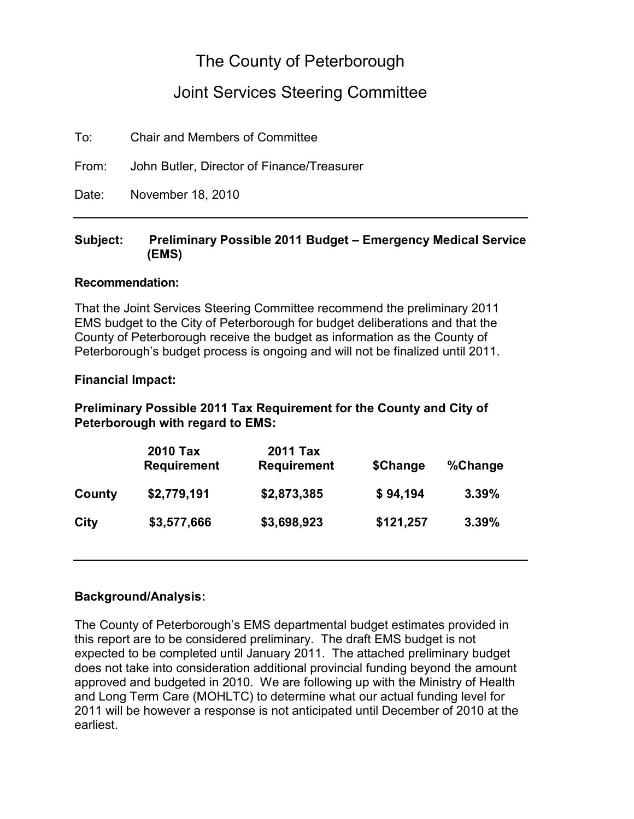## The County of Peterborough

### Joint Services Steering Committee

To: Chair and Members of Committee

From: John Butler, Director of Finance/Treasurer

Date: November 18, 2010

#### Subject: Preliminary Possible 2011 Budget – Emergency Medical Service (EMS)

#### Recommendation:

That the Joint Services Steering Committee recommend the preliminary 2011 EMS budget to the City of Peterborough for budget deliberations and that the County of Peterborough receive the budget as information as the County of Peterborough's budget process is ongoing and will not be finalized until 2011.

#### Financial Impact:

### Preliminary Possible 2011 Tax Requirement for the County and City of Peterborough with regard to EMS:

|             | <b>2010 Tax</b><br><b>Requirement</b> | <b>2011 Tax</b><br><b>Requirement</b> | \$Change  | %Change |
|-------------|---------------------------------------|---------------------------------------|-----------|---------|
| County      | \$2,779,191                           | \$2,873,385                           | \$94,194  | 3.39%   |
| <b>City</b> | \$3,577,666                           | \$3,698,923                           | \$121,257 | 3.39%   |

#### Background/Analysis:

The County of Peterborough's EMS departmental budget estimates provided in this report are to be considered preliminary. The draft EMS budget is not expected to be completed until January 2011. The attached preliminary budget does not take into consideration additional provincial funding beyond the amount approved and budgeted in 2010. We are following up with the Ministry of Health and Long Term Care (MOHLTC) to determine what our actual funding level for 2011 will be however a response is not anticipated until December of 2010 at the earliest.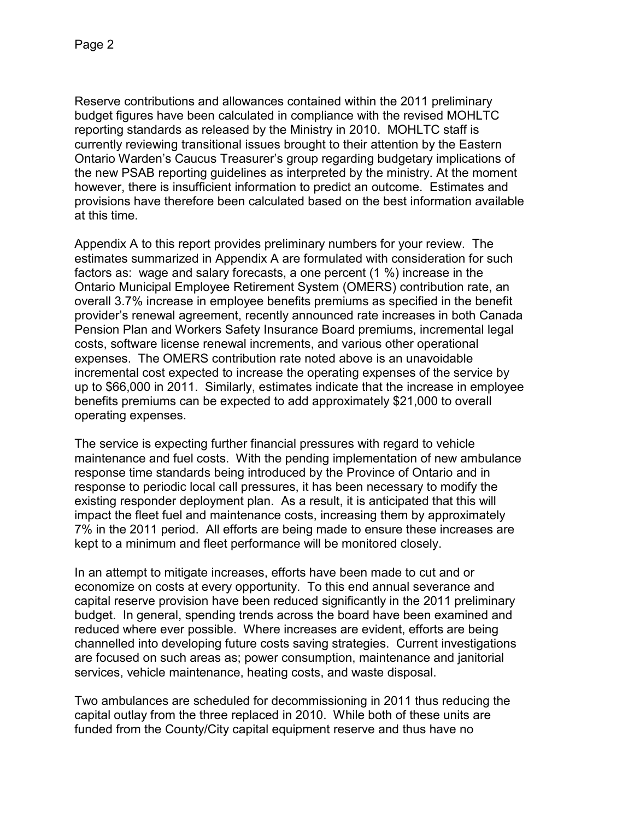Reserve contributions and allowances contained within the 2011 preliminary budget figures have been calculated in compliance with the revised MOHLTC reporting standards as released by the Ministry in 2010. MOHLTC staff is currently reviewing transitional issues brought to their attention by the Eastern Ontario Warden's Caucus Treasurer's group regarding budgetary implications of the new PSAB reporting guidelines as interpreted by the ministry. At the moment however, there is insufficient information to predict an outcome. Estimates and provisions have therefore been calculated based on the best information available at this time.

Appendix A to this report provides preliminary numbers for your review. The estimates summarized in Appendix A are formulated with consideration for such factors as: wage and salary forecasts, a one percent (1 %) increase in the Ontario Municipal Employee Retirement System (OMERS) contribution rate, an overall 3.7% increase in employee benefits premiums as specified in the benefit provider's renewal agreement, recently announced rate increases in both Canada Pension Plan and Workers Safety Insurance Board premiums, incremental legal costs, software license renewal increments, and various other operational expenses. The OMERS contribution rate noted above is an unavoidable incremental cost expected to increase the operating expenses of the service by up to \$66,000 in 2011. Similarly, estimates indicate that the increase in employee benefits premiums can be expected to add approximately \$21,000 to overall operating expenses.

The service is expecting further financial pressures with regard to vehicle maintenance and fuel costs. With the pending implementation of new ambulance response time standards being introduced by the Province of Ontario and in response to periodic local call pressures, it has been necessary to modify the existing responder deployment plan. As a result, it is anticipated that this will impact the fleet fuel and maintenance costs, increasing them by approximately 7% in the 2011 period. All efforts are being made to ensure these increases are kept to a minimum and fleet performance will be monitored closely.

In an attempt to mitigate increases, efforts have been made to cut and or economize on costs at every opportunity. To this end annual severance and capital reserve provision have been reduced significantly in the 2011 preliminary budget. In general, spending trends across the board have been examined and reduced where ever possible. Where increases are evident, efforts are being channelled into developing future costs saving strategies. Current investigations are focused on such areas as; power consumption, maintenance and janitorial services, vehicle maintenance, heating costs, and waste disposal.

Two ambulances are scheduled for decommissioning in 2011 thus reducing the capital outlay from the three replaced in 2010. While both of these units are funded from the County/City capital equipment reserve and thus have no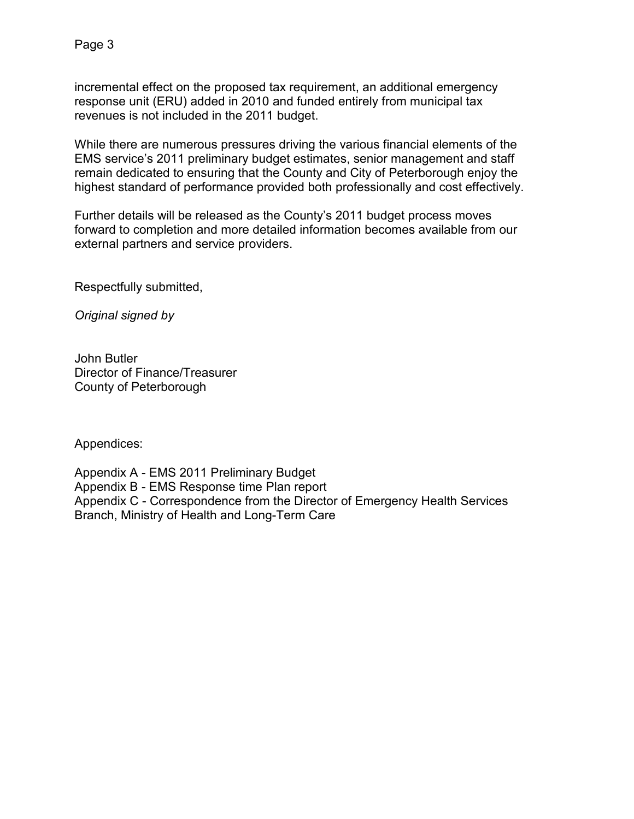incremental effect on the proposed tax requirement, an additional emergency response unit (ERU) added in 2010 and funded entirely from municipal tax revenues is not included in the 2011 budget.

While there are numerous pressures driving the various financial elements of the EMS service's 2011 preliminary budget estimates, senior management and staff remain dedicated to ensuring that the County and City of Peterborough enjoy the highest standard of performance provided both professionally and cost effectively.

Further details will be released as the County's 2011 budget process moves forward to completion and more detailed information becomes available from our external partners and service providers.

Respectfully submitted,

Original signed by

John Butler Director of Finance/Treasurer County of Peterborough

Appendices:

Appendix A - EMS 2011 Preliminary Budget Appendix B - EMS Response time Plan report Appendix C - Correspondence from the Director of Emergency Health Services Branch, Ministry of Health and Long-Term Care